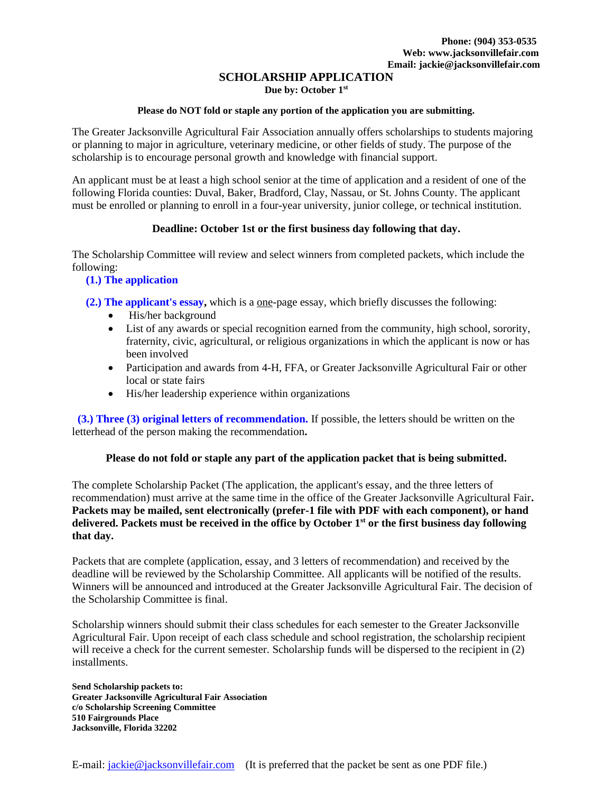## **SCHOLARSHIP APPLICATION**

**Due by: October 1st**

#### **Please do NOT fold or staple any portion of the application you are submitting.**

The Greater Jacksonville Agricultural Fair Association annually offers scholarships to students majoring or planning to major in agriculture, veterinary medicine, or other fields of study. The purpose of the scholarship is to encourage personal growth and knowledge with financial support.

An applicant must be at least a high school senior at the time of application and a resident of one of the following Florida counties: Duval, Baker, Bradford, Clay, Nassau, or St. Johns County. The applicant must be enrolled or planning to enroll in a four-year university, junior college, or technical institution.

## **Deadline: October 1st or the first business day following that day.**

The Scholarship Committee will review and select winners from completed packets, which include the following:

## **(1.) The application**

 **(2.) The applicant's essay,** which is a one-page essay, which briefly discusses the following:

- His/her background
- List of any awards or special recognition earned from the community, high school, sorority, fraternity, civic, agricultural, or religious organizations in which the applicant is now or has been involved
- Participation and awards from 4-H, FFA, or Greater Jacksonville Agricultural Fair or other local or state fairs
- His/her leadership experience within organizations

 **(3.) Three (3) original letters of recommendation.** If possible, the letters should be written on the letterhead of the person making the recommendation**.**

#### **Please do not fold or staple any part of the application packet that is being submitted.**

The complete Scholarship Packet (The application, the applicant's essay, and the three letters of recommendation) must arrive at the same time in the office of the Greater Jacksonville Agricultural Fair**. Packets may be mailed, sent electronically (prefer-1 file with PDF with each component), or hand delivered. Packets must be received in the office by October 1st or the first business day following that day.**

Packets that are complete (application, essay, and 3 letters of recommendation) and received by the deadline will be reviewed by the Scholarship Committee. All applicants will be notified of the results. Winners will be announced and introduced at the Greater Jacksonville Agricultural Fair. The decision of the Scholarship Committee is final.

Scholarship winners should submit their class schedules for each semester to the Greater Jacksonville Agricultural Fair. Upon receipt of each class schedule and school registration, the scholarship recipient will receive a check for the current semester. Scholarship funds will be dispersed to the recipient in (2) installments.

**Send Scholarship packets to: Greater Jacksonville Agricultural Fair Association c/o Scholarship Screening Committee 510 Fairgrounds Place Jacksonville, Florida 32202**